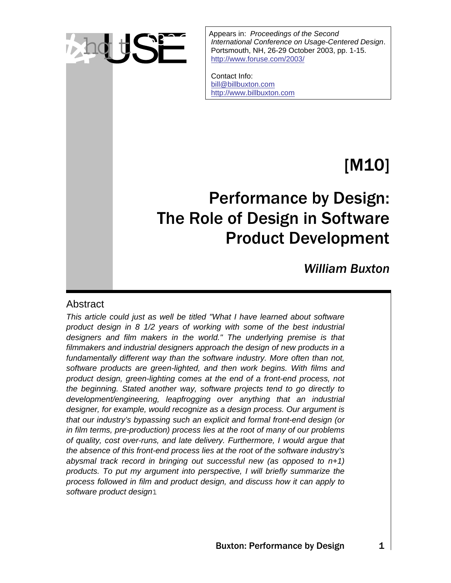

Appears in: *Proceedings of the Second*<br>
International Conference on Usage-Cent<br>
Portsmouth, NH, 26-29 October 2003, p<br>
http://www.foruse.com/2003/ *International Conference on Usage-Centered Design*. Portsmouth, NH, 26-29 October 2003, pp. 1-15. <http://www.foruse.com/2003/>

> Contact Info: [bill@billbuxton.com](mailto:bill@billbuxton.com) [http://www.billbuxton.com](http://www.billbuxton.com/)

# [M10]

## Performance by Design: The Role of Design in Software Product Development

*William Buxton* 

#### Abstract

*This article could just as well be titled "What I have learned about software product design in 8 1/2 years of working with some of the best industrial designers and film makers in the world." The underlying premise is that filmmakers and industrial designers approach the design of new products in a*  fundamentally different way than the software industry. More often than not, *software products are green-lighted, and then work begins. With films and product design, green-lighting comes at the end of a front-end process, not the beginning. Stated another way, software projects tend to go directly to development/engineering, leapfrogging over anything that an industrial designer, for example, would recognize as a design process. Our argument is that our industry's bypassing such an explicit and formal front-end design (or in film terms, pre-production) process lies at the root of many of our problems of quality, cost over-runs, and late delivery. Furthermore, I would argue that the absence of this front-end process lies at the root of the software industry's abysmal track record in bringing out successful new (as opposed to n+1) products. To put my argument into perspective, I will briefly summarize the process followed in film and product design, and discuss how it can apply to software product design*.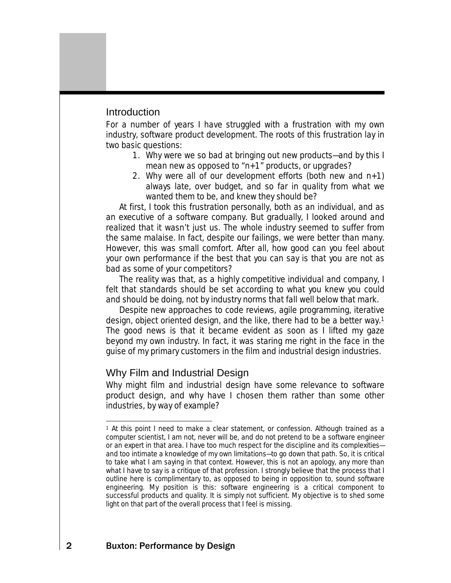#### **Introduction**

For a number of years I have struggled with a frustration with my own industry, software product development. The roots of this frustration lay in two basic questions:

- 1. Why were we so bad at bringing out new products—and by this I mean new as opposed to "n+1" products, or upgrades?
- 2. Why were all of our development efforts (both new and  $n+1$ ) always late, over budget, and so far in quality from what we wanted them to be, and knew they should be?

At first, I took this frustration personally, both as an individual, and as an executive of a software company. But gradually, I looked around and realized that it wasn't just us. The whole industry seemed to suffer from the same malaise. In fact, despite our failings, we were better than many. However, this was small comfort. After all, how good can you feel about your own performance if the best that you can say is that you are not as bad as some of your competitors?

The reality was that, as a highly competitive individual and company, I felt that standards should be set according to what you knew you could and should be doing, not by industry norms that fall well below that mark.

Despite new approaches to code reviews, agile programming, iterative design, object oriented design, and the like, there had to be a better way.[1](#page-1-0) The good news is that it became evident as soon as I lifted my gaze beyond my own industry. In fact, it was staring me right in the face in the guise of my primary customers in the film and industrial design industries.

## Why Film and Industrial Design

Why might film and industrial design have some relevance to software product design, and why have I chosen them rather than some other industries, by way of example?

<span id="page-1-0"></span>l 1 At this point I need to make a clear statement, or confession. Although trained as a computer scientist, I am not, never will be, and do not pretend to be a software engineer or an expert in that area. I have too much respect for the discipline and its complexities and too intimate a knowledge of my own limitations—to go down that path. So, it is critical to take what I am saying in that context. However, this is not an apology, any more than what I have to say is a critique of that profession. I strongly believe that the process that I outline here is complimentary to, as opposed to being in opposition to, sound software engineering. My position is this: software engineering is a critical component to successful products and quality. It is simply not sufficient. My objective is to shed some light on that part of the overall process that I feel is missing.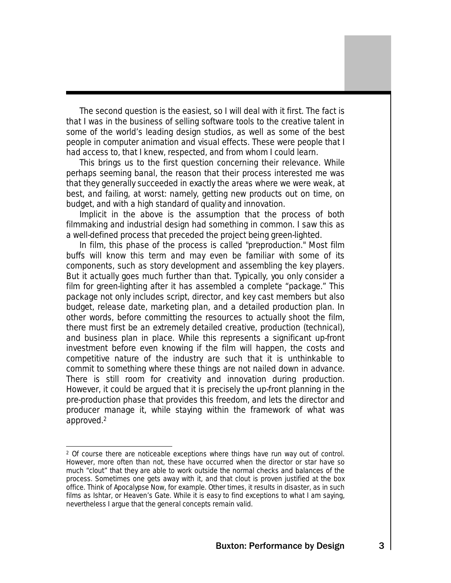The second question is the easiest, so I will deal with it first. The fact is that I was in the business of selling software tools to the creative talent in some of the world's leading design studios, as well as some of the best people in computer animation and visual effects. These were people that I had access to, that I knew, respected, and from whom I could learn.

This brings us to the first question concerning their relevance. While perhaps seeming banal, the reason that their process interested me was that they generally succeeded in exactly the areas where we were weak, at best, and failing, at worst: namely, getting new products out on time, on budget, and with a high standard of quality and innovation.

Implicit in the above is the assumption that the process of both filmmaking and industrial design had something in common. I saw this as a well-defined process that preceded the project being green-lighted.

In film, this phase of the process is called "preproduction." Most film buffs will know this term and may even be familiar with some of its components, such as story development and assembling the key players. But it actually goes much further than that. Typically, you only consider a film for green-lighting after it has assembled a complete "package." This package not only includes script, director, and key cast members but also budget, release date, marketing plan, and a detailed production plan. In other words, before committing the resources to actually shoot the film, there must first be an extremely detailed creative, production (technical), and business plan in place. While this represents a significant up-front investment before even knowing if the film will happen, the costs and competitive nature of the industry are such that it is unthinkable to commit to something where these things are not nailed down in advance. There is still room for creativity and innovation during production. However, it could be argued that it is precisely the up-front planning in the pre-production phase that provides this freedom, and lets the director and producer manage it, while staying within the framework of what was approved[.2](#page-2-0)

l

<span id="page-2-0"></span><sup>2</sup> Of course there are noticeable exceptions where things have run way out of control. However, more often than not, these have occurred when the director or star have so much "clout" that they are able to work outside the normal checks and balances of the process. Sometimes one gets away with it, and that clout is proven justified at the box office. Think of Apocalypse Now, for example. Other times, it results in disaster, as in such films as Ishtar, or Heaven's Gate. While it is easy to find exceptions to what I am saying, nevertheless I argue that the general concepts remain valid.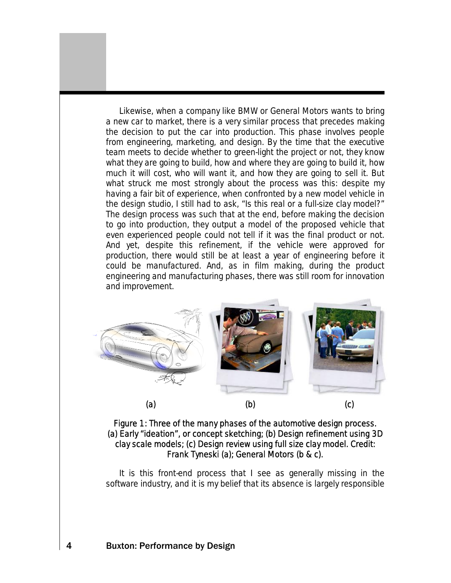Likewise, when a company like BMW or General Motors wants to bring a new car to market, there is a very similar process that precedes making the decision to put the car into production. This phase involves people from engineering, marketing, and design. By the time that the executive team meets to decide whether to green-light the project or not, they know what they are going to build, how and where they are going to build it, how much it will cost, who will want it, and how they are going to sell it. But what struck me most strongly about the process was this: despite my having a fair bit of experience, when confronted by a new model vehicle in the design studio, I still had to ask, "Is this real or a full-size clay model?" The design process was such that at the end, before making the decision to go into production, they output a model of the proposed vehicle that even experienced people could not tell if it was the final product or not. And yet, despite this refinement, if the vehicle were approved for production, there would still be at least a year of engineering before it could be manufactured. And, as in film making, during the product engineering and manufacturing phases, there was still room for innovation and improvement.



Figure 1: Three of the many phases of the automotive design process. (a) Early "ideation", or concept sketching; (b) Design refinement using 3D clay scale models; (c) Design review using full size clay model. Credit: Frank Tyneski (a); General Motors (b & c).

It is this front-end process that I see as generally missing in the software industry, and it is my belief that its absence is largely responsible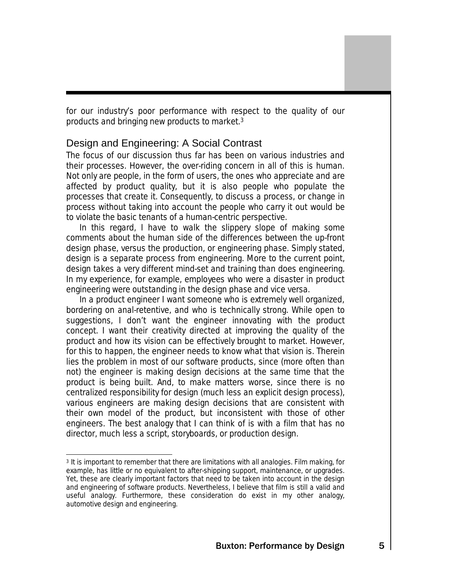for our industry's poor performance with respect to the quality of our products and bringing new products to market[.3](#page-4-0)

## Design and Engineering: A Social Contrast

The focus of our discussion thus far has been on various industries and their processes. However, the over-riding concern in all of this is human. Not only are people, in the form of users, the ones who appreciate and are affected by product quality, but it is also people who populate the processes that create it. Consequently, to discuss a process, or change in process without taking into account the people who carry it out would be to violate the basic tenants of a human-centric perspective.

In this regard, I have to walk the slippery slope of making some comments about the human side of the differences between the up-front design phase, versus the production, or engineering phase. Simply stated, design is a separate process from engineering. More to the current point, design takes a very different mind-set and training than does engineering. In my experience, for example, employees who were a disaster in product engineering were outstanding in the design phase and vice versa.

In a product engineer I want someone who is extremely well organized, bordering on anal-retentive, and who is technically strong. While open to suggestions, I don't want the engineer innovating with the product concept. I want their creativity directed at improving the quality of the product and how its vision can be effectively brought to market. However, for this to happen, the engineer needs to know what that vision is. Therein lies the problem in most of our software products, since (more often than not) the engineer is making design decisions at the same time that the product is being built. And, to make matters worse, since there is no centralized responsibility for design (much less an explicit design process), various engineers are making design decisions that are consistent with their own model of the product, but inconsistent with those of other engineers. The best analogy that I can think of is with a film that has no director, much less a script, storyboards, or production design.

<span id="page-4-0"></span>l 3 It is important to remember that there are limitations with all analogies. Film making, for example, has little or no equivalent to after-shipping support, maintenance, or upgrades. Yet, these are clearly important factors that need to be taken into account in the design and engineering of software products. Nevertheless, I believe that film is still a valid and useful analogy. Furthermore, these consideration do exist in my other analogy, automotive design and engineering.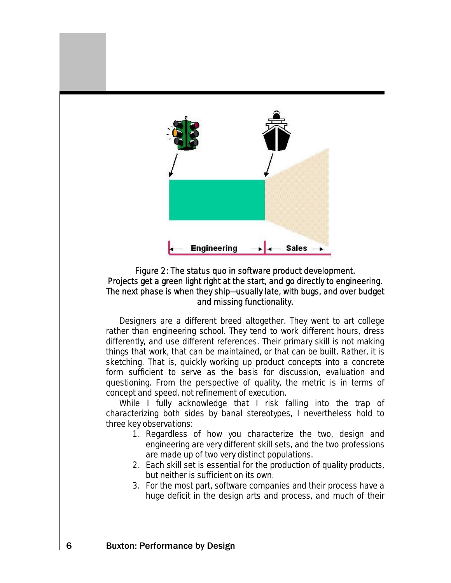

#### Figure 2: The status quo in software product development. Projects get a green light right at the start, and go directly to engineering. The next phase is when they ship—usually late, with bugs, and over budget and missing functionality.

Designers are a different breed altogether. They went to art college rather than engineering school. They tend to work different hours, dress differently, and use different references. Their primary skill is not making things that work, that can be maintained, or that can be built. Rather, it is sketching. That is, quickly working up product concepts into a concrete form sufficient to serve as the basis for discussion, evaluation and questioning. From the perspective of quality, the metric is in terms of concept and speed, not refinement of execution.

While I fully acknowledge that I risk falling into the trap of characterizing both sides by banal stereotypes, I nevertheless hold to three key observations:

- 1. Regardless of how you characterize the two, design and engineering are very different skill sets, and the two professions are made up of two very distinct populations.
- 2. Each skill set is essential for the production of quality products, but neither is sufficient on its own.
- 3. For the most part, software companies and their process have a huge deficit in the design arts and process, and much of their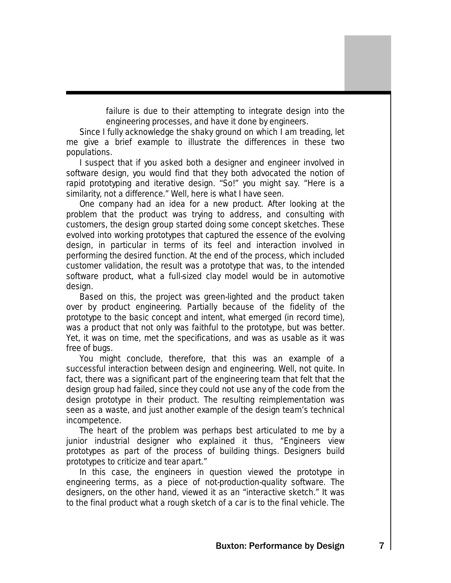failure is due to their attempting to integrate design into the engineering processes, and have it done by engineers.

Since I fully acknowledge the shaky ground on which I am treading, let me give a brief example to illustrate the differences in these two populations.

I suspect that if you asked both a designer and engineer involved in software design, you would find that they both advocated the notion of rapid prototyping and iterative design. "So!" you might say. "Here is a similarity, not a difference." Well, here is what I have seen.

One company had an idea for a new product. After looking at the problem that the product was trying to address, and consulting with customers, the design group started doing some concept sketches. These evolved into working prototypes that captured the essence of the evolving design, in particular in terms of its feel and interaction involved in performing the desired function. At the end of the process, which included customer validation, the result was a prototype that was, to the intended software product, what a full-sized clay model would be in automotive design.

Based on this, the project was green-lighted and the product taken over by product engineering. Partially because of the fidelity of the prototype to the basic concept and intent, what emerged (in record time), was a product that not only was faithful to the prototype, but was better. Yet, it was on time, met the specifications, and was as usable as it was free of bugs.

You might conclude, therefore, that this was an example of a successful interaction between design and engineering. Well, not quite. In fact, there was a significant part of the engineering team that felt that the design group had failed, since they could not use any of the code from the design prototype in their product. The resulting reimplementation was seen as a waste, and just another example of the design team's technical incompetence.

The heart of the problem was perhaps best articulated to me by a junior industrial designer who explained it thus, "Engineers view prototypes as part of the process of building things. Designers build prototypes to criticize and tear apart."

In this case, the engineers in question viewed the prototype in engineering terms, as a piece of not-production-quality software. The designers, on the other hand, viewed it as an "interactive sketch." It was to the final product what a rough sketch of a car is to the final vehicle. The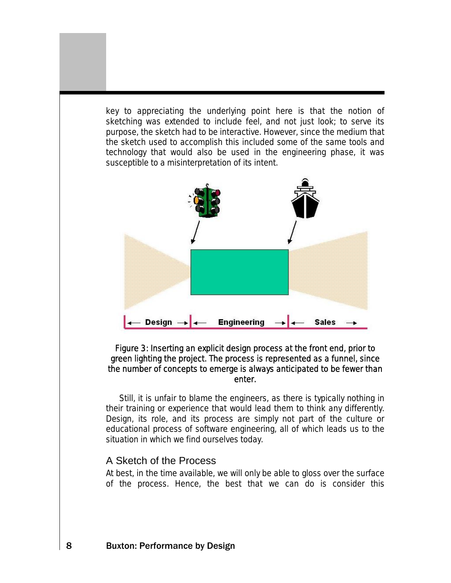key to appreciating the underlying point here is that the notion of sketching was extended to include feel, and not just look; to serve its purpose, the sketch had to be interactive. However, since the medium that the sketch used to accomplish this included some of the same tools and technology that would also be used in the engineering phase, it was susceptible to a misinterpretation of its intent.



#### Figure 3: Inserting an explicit design process at the front end, prior to green lighting the project. The process is represented as a funnel, since the number of concepts to emerge is always anticipated to be fewer than enter.

Still, it is unfair to blame the engineers, as there is typically nothing in their training or experience that would lead them to think any differently. Design, its role, and its process are simply not part of the culture or educational process of software engineering, all of which leads us to the situation in which we find ourselves today.

## A Sketch of the Process

At best, in the time available, we will only be able to gloss over the surface of the process. Hence, the best that we can do is consider this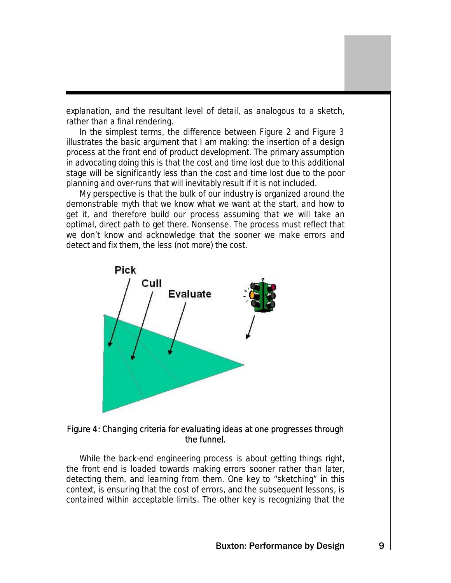explanation, and the resultant level of detail, as analogous to a sketch, rather than a final rendering.

In the simplest terms, the difference between Figure 2 and Figure 3 illustrates the basic argument that I am making: the insertion of a design process at the front end of product development. The primary assumption in advocating doing this is that the cost and time lost due to this additional stage will be significantly less than the cost and time lost due to the poor planning and over-runs that will inevitably result if it is not included.

My perspective is that the bulk of our industry is organized around the demonstrable myth that we know what we want at the start, and how to get it, and therefore build our process assuming that we will take an optimal, direct path to get there. Nonsense. The process must reflect that we don't know and acknowledge that the sooner we make errors and detect and fix them, the less (not more) the cost.



#### Figure 4: Changing criteria for evaluating ideas at one progresses through the funnel.

While the back-end engineering process is about getting things right, the front end is loaded towards making errors sooner rather than later, detecting them, and learning from them. One key to "sketching" in this context, is ensuring that the cost of errors, and the subsequent lessons, is contained within acceptable limits. The other key is recognizing that the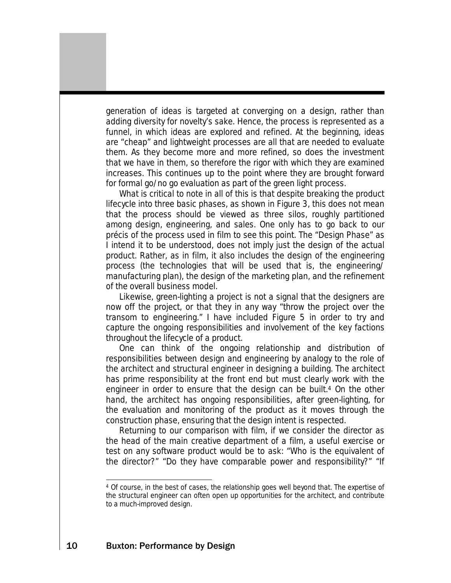generation of ideas is targeted at converging on a design, rather than adding diversity for novelty's sake. Hence, the process is represented as a funnel, in which ideas are explored and refined. At the beginning, ideas are "cheap" and lightweight processes are all that are needed to evaluate them. As they become more and more refined, so does the investment that we have in them, so therefore the rigor with which they are examined increases. This continues up to the point where they are brought forward for formal go/no go evaluation as part of the green light process.

What is critical to note in all of this is that despite breaking the product lifecycle into three basic phases, as shown in Figure 3, this does not mean that the process should be viewed as three silos, roughly partitioned among design, engineering, and sales. One only has to go back to our précis of the process used in film to see this point. The "Design Phase" as I intend it to be understood, does not imply just the design of the actual product. Rather, as in film, it also includes the design of the engineering process (the technologies that will be used that is, the engineering/ manufacturing plan), the design of the marketing plan, and the refinement of the overall business model.

Likewise, green-lighting a project is not a signal that the designers are now off the project, or that they in any way "throw the project over the transom to engineering." I have included Figure 5 in order to try and capture the ongoing responsibilities and involvement of the key factions throughout the lifecycle of a product.

One can think of the ongoing relationship and distribution of responsibilities between design and engineering by analogy to the role of the architect and structural engineer in designing a building. The architect has prime responsibility at the front end but must clearly work with the engineer in order to ensure that the design can be built[.4](#page-9-0) On the other hand, the architect has ongoing responsibilities, after green-lighting, for the evaluation and monitoring of the product as it moves through the construction phase, ensuring that the design intent is respected.

Returning to our comparison with film, if we consider the director as the head of the main creative department of a film, a useful exercise or test on any software product would be to ask: "Who is the equivalent of the director?" "Do they have comparable power and responsibility?" "If

<span id="page-9-0"></span>l 4 Of course, in the best of cases, the relationship goes well beyond that. The expertise of the structural engineer can often open up opportunities for the architect, and contribute to a much-improved design.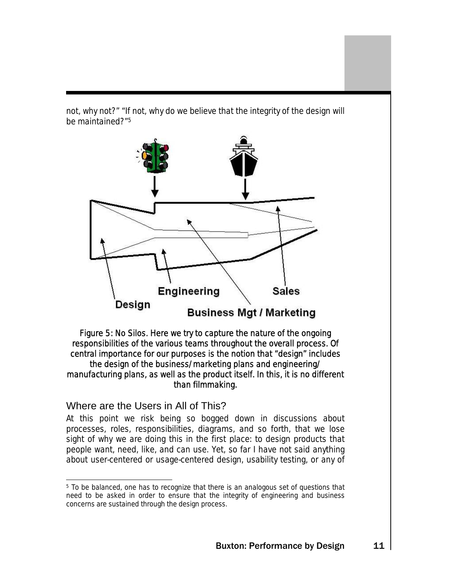not, why not?" "If not, why do we believe that the integrity of the design will be maintained?"[5](#page-10-0)



Figure 5: No Silos. Here we try to capture the nature of the ongoing responsibilities of the various teams throughout the overall process. Of central importance for our purposes is the notion that "design" includes the design of the business/marketing plans and engineering/ manufacturing plans, as well as the product itself. In this, it is no different than filmmaking.

## Where are the Users in All of This?

At this point we risk being so bogged down in discussions about processes, roles, responsibilities, diagrams, and so forth, that we lose sight of why we are doing this in the first place: to design products that people want, need, like, and can use. Yet, so far I have not said anything about user-centered or usage-centered design, usability testing, or any of

<span id="page-10-0"></span> <sup>5</sup> To be balanced, one has to recognize that there is an analogous set of questions that need to be asked in order to ensure that the integrity of engineering and business concerns are sustained through the design process.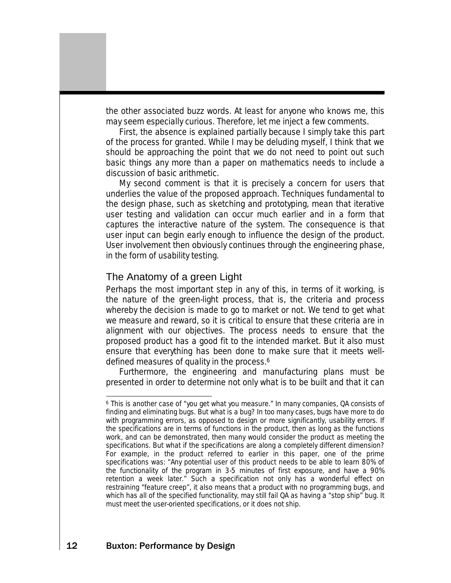the other associated buzz words. At least for anyone who knows me, this may seem especially curious. Therefore, let me inject a few comments.

First, the absence is explained partially because I simply take this part of the process for granted. While I may be deluding myself, I think that we should be approaching the point that we do not need to point out such basic things any more than a paper on mathematics needs to include a discussion of basic arithmetic.

My second comment is that it is precisely a concern for users that underlies the value of the proposed approach. Techniques fundamental to the design phase, such as sketching and prototyping, mean that iterative user testing and validation can occur much earlier and in a form that captures the interactive nature of the system. The consequence is that user input can begin early enough to influence the design of the product. User involvement then obviously continues through the engineering phase, in the form of usability testing.

#### The Anatomy of a green Light

Perhaps the most important step in any of this, in terms of it working, is the nature of the green-light process, that is, the criteria and process whereby the decision is made to go to market or not. We tend to get what we measure and reward, so it is critical to ensure that these criteria are in alignment with our objectives. The process needs to ensure that the proposed product has a good fit to the intended market. But it also must ensure that everything has been done to make sure that it meets welldefined measures of quality in the process.<sup>6</sup>

Furthermore, the engineering and manufacturing plans must be presented in order to determine not only what is to be built and that it can

<span id="page-11-0"></span> $\overline{a}$ 6 This is another case of "you get what you measure." In many companies, QA consists of finding and eliminating bugs. But what is a bug? In too many cases, bugs have more to do with programming errors, as opposed to design or more significantly, usability errors. If the specifications are in terms of functions in the product, then as long as the functions work, and can be demonstrated, then many would consider the product as meeting the specifications. But what if the specifications are along a completely different dimension? For example, in the product referred to earlier in this paper, one of the prime specifications was: "Any potential user of this product needs to be able to learn 80% of the functionality of the program in 3-5 minutes of first exposure, and have a 90% retention a week later." Such a specification not only has a wonderful effect on restraining "feature creep", it also means that a product with no programming bugs, and which has all of the specified functionality, may still fail QA as having a "stop ship" bug. It must meet the user-oriented specifications, or it does not ship.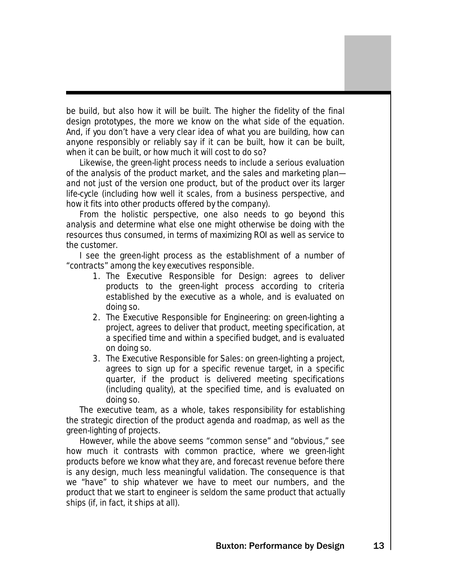be build, but also how it will be built. The higher the fidelity of the final design prototypes, the more we know on the what side of the equation. And, if you don't have a very clear idea of what you are building, how can anyone responsibly or reliably say if it can be built, how it can be built, when it can be built, or how much it will cost to do so?

Likewise, the green-light process needs to include a serious evaluation of the analysis of the product market, and the sales and marketing plan and not just of the version one product, but of the product over its larger life-cycle (including how well it scales, from a business perspective, and how it fits into other products offered by the company).

From the holistic perspective, one also needs to go beyond this analysis and determine what else one might otherwise be doing with the resources thus consumed, in terms of maximizing ROI as well as service to the customer.

I see the green-light process as the establishment of a number of "contracts" among the key executives responsible.

- 1. The Executive Responsible for Design: agrees to deliver products to the green-light process according to criteria established by the executive as a whole, and is evaluated on doing so.
- 2. The Executive Responsible for Engineering: on green-lighting a project, agrees to deliver that product, meeting specification, at a specified time and within a specified budget, and is evaluated on doing so.
- 3. The Executive Responsible for Sales: on green-lighting a project, agrees to sign up for a specific revenue target, in a specific quarter, if the product is delivered meeting specifications (including quality), at the specified time, and is evaluated on doing so.

The executive team, as a whole, takes responsibility for establishing the strategic direction of the product agenda and roadmap, as well as the green-lighting of projects.

However, while the above seems "common sense" and "obvious," see how much it contrasts with common practice, where we green-light products before we know what they are, and forecast revenue before there is any design, much less meaningful validation. The consequence is that we "have" to ship whatever we have to meet our numbers, and the product that we start to engineer is seldom the same product that actually ships (if, in fact, it ships at all).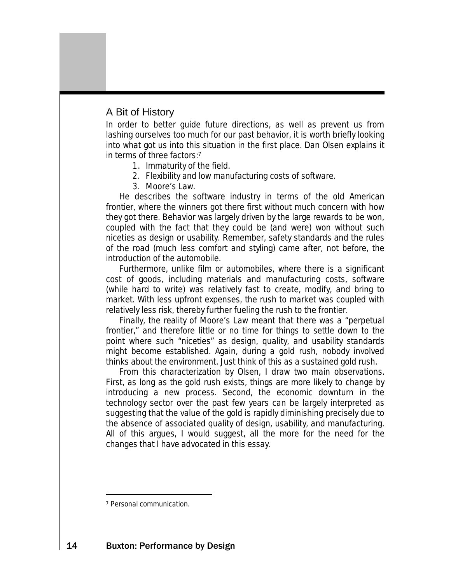## A Bit of History

In order to better guide future directions, as well as prevent us from lashing ourselves too much for our past behavior, it is worth briefly looking into what got us into this situation in the first place. Dan Olsen explains it in terms of three factors[:7](#page-13-0)

- 1. Immaturity of the field.
- 2. Flexibility and low manufacturing costs of software.
- 3. Moore's Law.

He describes the software industry in terms of the old American frontier, where the winners got there first without much concern with how they got there. Behavior was largely driven by the large rewards to be won, coupled with the fact that they could be (and were) won without such niceties as design or usability. Remember, safety standards and the rules of the road (much less comfort and styling) came after, not before, the introduction of the automobile.

Furthermore, unlike film or automobiles, where there is a significant cost of goods, including materials and manufacturing costs, software (while hard to write) was relatively fast to create, modify, and bring to market. With less upfront expenses, the rush to market was coupled with relatively less risk, thereby further fueling the rush to the frontier.

Finally, the reality of Moore's Law meant that there was a "perpetual frontier," and therefore little or no time for things to settle down to the point where such "niceties" as design, quality, and usability standards might become established. Again, during a gold rush, nobody involved thinks about the environment. Just think of this as a sustained gold rush.

From this characterization by Olsen, I draw two main observations. First, as long as the gold rush exists, things are more likely to change by introducing a new process. Second, the economic downturn in the technology sector over the past few years can be largely interpreted as suggesting that the value of the gold is rapidly diminishing precisely due to the absence of associated quality of design, usability, and manufacturing. All of this argues, I would suggest, all the more for the need for the changes that I have advocated in this essay.

l

<span id="page-13-0"></span><sup>7</sup> Personal communication.